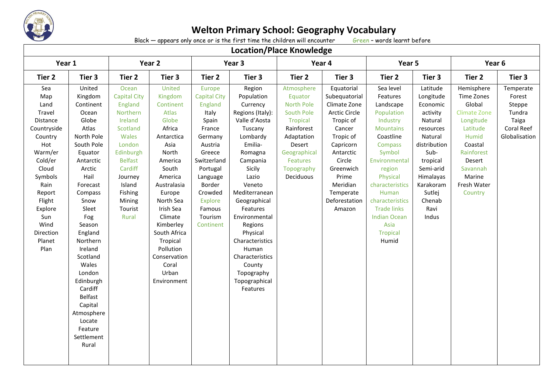

Black  $-$  appears only once or is the first time the children will encounter

## **Location/Place Knowledge**

| LULALIUII/ FIALE NIIUWIEUKE                                                                                                                                                                              |                                                                                                                                                                                                                                                                                                                                                                   |                                                                                                                                                                                                       |                                                                                                                                                                                                                                                                                               |                                                                                                                                                                                                                      |                                                                                                                                                                                                                                                                                                                                                      |                                                                                                                                                                   |                                                                                                                                                                                                                       |                                                                                                                                                                                                                                                                                           |                                                                                                                                                                                                  |                                                                                                                                                                                |                                                                                 |
|----------------------------------------------------------------------------------------------------------------------------------------------------------------------------------------------------------|-------------------------------------------------------------------------------------------------------------------------------------------------------------------------------------------------------------------------------------------------------------------------------------------------------------------------------------------------------------------|-------------------------------------------------------------------------------------------------------------------------------------------------------------------------------------------------------|-----------------------------------------------------------------------------------------------------------------------------------------------------------------------------------------------------------------------------------------------------------------------------------------------|----------------------------------------------------------------------------------------------------------------------------------------------------------------------------------------------------------------------|------------------------------------------------------------------------------------------------------------------------------------------------------------------------------------------------------------------------------------------------------------------------------------------------------------------------------------------------------|-------------------------------------------------------------------------------------------------------------------------------------------------------------------|-----------------------------------------------------------------------------------------------------------------------------------------------------------------------------------------------------------------------|-------------------------------------------------------------------------------------------------------------------------------------------------------------------------------------------------------------------------------------------------------------------------------------------|--------------------------------------------------------------------------------------------------------------------------------------------------------------------------------------------------|--------------------------------------------------------------------------------------------------------------------------------------------------------------------------------|---------------------------------------------------------------------------------|
| Year 1                                                                                                                                                                                                   |                                                                                                                                                                                                                                                                                                                                                                   | Year 2                                                                                                                                                                                                |                                                                                                                                                                                                                                                                                               | Year 3                                                                                                                                                                                                               |                                                                                                                                                                                                                                                                                                                                                      | Year 4                                                                                                                                                            |                                                                                                                                                                                                                       | Year 5                                                                                                                                                                                                                                                                                    |                                                                                                                                                                                                  | Year 6                                                                                                                                                                         |                                                                                 |
| Tier 2                                                                                                                                                                                                   | Tier 3                                                                                                                                                                                                                                                                                                                                                            | Tier <sub>2</sub>                                                                                                                                                                                     | Tier 3                                                                                                                                                                                                                                                                                        | Tier 2                                                                                                                                                                                                               | Tier 3                                                                                                                                                                                                                                                                                                                                               | Tier 2                                                                                                                                                            | Tier 3                                                                                                                                                                                                                | Tier 2                                                                                                                                                                                                                                                                                    | Tier 3                                                                                                                                                                                           | Tier 2                                                                                                                                                                         | Tier 3                                                                          |
| Sea<br>Map<br>Land<br>Travel<br>Distance<br>Countryside<br>Country<br>Hot<br>Warm/er<br>Cold/er<br>Cloud<br>Symbols<br>Rain<br>Report<br>Flight<br>Explore<br>Sun<br>Wind<br>Direction<br>Planet<br>Plan | United<br>Kingdom<br>Continent<br>Ocean<br>Globe<br>Atlas<br>North Pole<br>South Pole<br>Equator<br>Antarctic<br>Arctic<br>Hail<br>Forecast<br>Compass<br>Snow<br>Sleet<br>Fog<br>Season<br>England<br>Northern<br>Ireland<br>Scotland<br>Wales<br>London<br>Edinburgh<br>Cardiff<br>Belfast<br>Capital<br>Atmosphere<br>Locate<br>Feature<br>Settlement<br>Rural | Ocean<br><b>Capital City</b><br>England<br>Northern<br>Ireland<br>Scotland<br>Wales<br>London<br>Edinburgh<br><b>Belfast</b><br>Cardiff<br>Journey<br>Island<br>Fishing<br>Mining<br>Tourist<br>Rural | United<br>Kingdom<br>Continent<br>Atlas<br>Globe<br>Africa<br>Antarctica<br>Asia<br>North<br>America<br>South<br>America<br>Australasia<br>Europe<br>North Sea<br>Irish Sea<br>Climate<br>Kimberley<br>South Africa<br>Tropical<br>Pollution<br>Conservation<br>Coral<br>Urban<br>Environment | Europe<br><b>Capital City</b><br>England<br>Italy<br>Spain<br>France<br>Germany<br>Austria<br>Greece<br>Switzerland<br>Portugal<br>Language<br>Border<br>Crowded<br><b>Explore</b><br>Famous<br>Tourism<br>Continent | Region<br>Population<br>Currency<br>Regions (Italy):<br>Valle d'Aosta<br>Tuscany<br>Lombardy<br>Emilia-<br>Romagna<br>Campania<br>Sicily<br>Lazio<br>Veneto<br>Mediterranean<br>Geographical<br>Features<br>Environmental<br>Regions<br>Physical<br>Characteristics<br>Human<br>Characteristics<br>County<br>Topography<br>Topographical<br>Features | Atmosphere<br>Equator<br><b>North Pole</b><br>South Pole<br>Tropical<br>Rainforest<br>Adaptation<br>Desert<br>Geographical<br>Features<br>Topography<br>Deciduous | Equatorial<br>Subequatorial<br>Climate Zone<br><b>Arctic Circle</b><br>Tropic of<br>Cancer<br>Tropic of<br>Capricorn<br>Antarctic<br>Circle<br>Greenwich<br>Prime<br>Meridian<br>Temperate<br>Deforestation<br>Amazon | Sea level<br>Features<br>Landscape<br>Population<br>Industry<br><b>Mountains</b><br>Coastline<br>Compass<br>Symbol<br>Environmental<br>region<br>Physical<br>characteristics<br>Human<br>characteristics<br><b>Trade links</b><br><b>Indian Ocean</b><br>Asia<br><b>Tropical</b><br>Humid | Latitude<br>Longitude<br>Economic<br>activity<br>Natural<br>resources<br>Natural<br>distribution<br>Sub-<br>tropical<br>Semi-arid<br>Himalayas<br>Karakoram<br>Sutlej<br>Chenab<br>Ravi<br>Indus | Hemisphere<br>Time Zones<br>Global<br><b>Climate Zone</b><br>Longitude<br>Latitude<br>Humid<br>Coastal<br>Rainforest<br>Desert<br>Savannah<br>Marine<br>Fresh Water<br>Country | Temperate<br>Forest<br>Steppe<br>Tundra<br>Taiga<br>Coral Reef<br>Globalisation |
|                                                                                                                                                                                                          |                                                                                                                                                                                                                                                                                                                                                                   |                                                                                                                                                                                                       |                                                                                                                                                                                                                                                                                               |                                                                                                                                                                                                                      |                                                                                                                                                                                                                                                                                                                                                      |                                                                                                                                                                   |                                                                                                                                                                                                                       |                                                                                                                                                                                                                                                                                           |                                                                                                                                                                                                  |                                                                                                                                                                                |                                                                                 |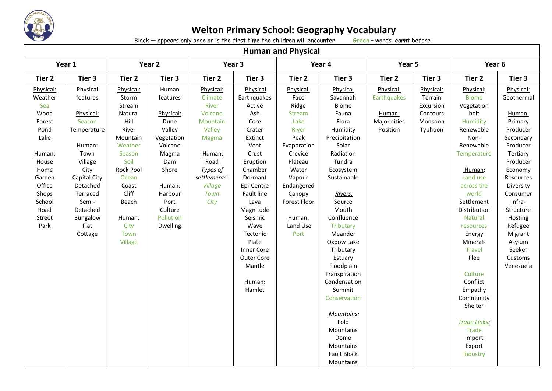

Black  $-$  appears only once or is the first time the children will encounter

| <b>Human and Physical</b>                                                                                                                                 |                                                                                                                                                                                             |                                                                                                                                                                                                |                                                                                                                                                                     |                                                                                                                                                  |                                                                                                                                                                                                                                                                             |                                                                                                                                                                                             |                                                                                                                                                                                                                                                                                                                                                                              |                                                                |                                                                     |                                                                                                                                                                                                                                                                                                                                                                 |                                                                                                                                                                                                                                                                |
|-----------------------------------------------------------------------------------------------------------------------------------------------------------|---------------------------------------------------------------------------------------------------------------------------------------------------------------------------------------------|------------------------------------------------------------------------------------------------------------------------------------------------------------------------------------------------|---------------------------------------------------------------------------------------------------------------------------------------------------------------------|--------------------------------------------------------------------------------------------------------------------------------------------------|-----------------------------------------------------------------------------------------------------------------------------------------------------------------------------------------------------------------------------------------------------------------------------|---------------------------------------------------------------------------------------------------------------------------------------------------------------------------------------------|------------------------------------------------------------------------------------------------------------------------------------------------------------------------------------------------------------------------------------------------------------------------------------------------------------------------------------------------------------------------------|----------------------------------------------------------------|---------------------------------------------------------------------|-----------------------------------------------------------------------------------------------------------------------------------------------------------------------------------------------------------------------------------------------------------------------------------------------------------------------------------------------------------------|----------------------------------------------------------------------------------------------------------------------------------------------------------------------------------------------------------------------------------------------------------------|
|                                                                                                                                                           | Year 1                                                                                                                                                                                      | Year 2                                                                                                                                                                                         |                                                                                                                                                                     | Year 3                                                                                                                                           |                                                                                                                                                                                                                                                                             | Year 4                                                                                                                                                                                      |                                                                                                                                                                                                                                                                                                                                                                              | Year 5                                                         |                                                                     | Year <sub>6</sub>                                                                                                                                                                                                                                                                                                                                               |                                                                                                                                                                                                                                                                |
| Tier 2                                                                                                                                                    | Tier 3                                                                                                                                                                                      | Tier <sub>2</sub>                                                                                                                                                                              | Tier 3                                                                                                                                                              | Tier 2                                                                                                                                           | Tier 3                                                                                                                                                                                                                                                                      | Tier 2                                                                                                                                                                                      | Tier 3                                                                                                                                                                                                                                                                                                                                                                       | Tier 2<br>Tier 3                                               |                                                                     | Tier 2                                                                                                                                                                                                                                                                                                                                                          | Tier 3                                                                                                                                                                                                                                                         |
| Physical:<br>Weather<br>Sea<br>Wood<br>Forest<br>Pond<br>Lake<br>Human:<br>House<br>Home<br>Garden<br>Office<br>Shops<br>School<br>Road<br>Street<br>Park | Physical<br>features<br>Physical:<br>Season<br>Temperature<br>Human:<br>Town<br>Village<br>City<br>Capital City<br>Detached<br>Terraced<br>Semi-<br>Detached<br>Bungalow<br>Flat<br>Cottage | Physical:<br>Storm<br>Stream<br>Natural<br>Hill<br>River<br>Mountain<br>Weather<br>Season<br>Soil<br><b>Rock Pool</b><br>Ocean<br>Coast<br>Cliff<br>Beach<br>Human:<br>City<br>Town<br>Village | Human<br>features<br>Physical:<br>Dune<br>Valley<br>Vegetation<br>Volcano<br>Magma<br>Dam<br>Shore<br>Human:<br>Harbour<br>Port<br>Culture<br>Pollution<br>Dwelling | Physical:<br>Climate<br>River<br>Volcano<br>Mountain<br>Valley<br>Magma<br>Human:<br>Road<br>Types of<br>settlements:<br>Village<br>Town<br>City | Physical<br>Earthquakes<br>Active<br>Ash<br>Core<br>Crater<br>Extinct<br>Vent<br>Crust<br>Eruption<br>Chamber<br>Dormant<br>Epi-Centre<br>Fault line<br>Lava<br>Magnitude<br>Seismic<br>Wave<br>Tectonic<br>Plate<br>Inner Core<br>Outer Core<br>Mantle<br>Human:<br>Hamlet | Physical:<br>Face<br>Ridge<br>Stream<br>Lake<br>River<br>Peak<br>Evaporation<br>Crevice<br>Plateau<br>Water<br>Vapour<br>Endangered<br>Canopy<br>Forest Floor<br>Human:<br>Land Use<br>Port | Physical<br>Savannah<br>Biome<br>Fauna<br>Flora<br>Humidity<br>Precipitation<br>Solar<br>Radiation<br>Tundra<br>Ecosystem<br>Sustainable<br>Rivers:<br>Source<br>Mouth<br>Confluence<br><b>Tributary</b><br>Meander<br>Oxbow Lake<br>Tributary<br>Estuary<br>Floodplain<br>Transpiration<br>Condensation<br>Summit<br>Conservation<br><b>Mountains:</b><br>Fold<br>Mountains | Physical:<br>Earthquakes<br>Human:<br>Major cities<br>Position | Physical:<br>Terrain<br>Excursion<br>Contours<br>Monsoon<br>Typhoon | Physical:<br><b>Biome</b><br>Vegetation<br>belt<br>Humidity<br>Renewable<br>Non-<br>Renewable<br>Temperature<br>Human:<br>Land use<br>across the<br>world<br>Settlement<br>Distribution<br><b>Natural</b><br>resources<br>Energy<br>Minerals<br><b>Travel</b><br>Flee<br>Culture<br>Conflict<br>Empathy<br>Community<br>Shelter<br>Trade Links:<br><b>Trade</b> | Physical:<br>Geothermal<br>Human:<br>Primary<br>Producer<br>Secondary<br>Producer<br>Tertiary<br>Producer<br>Economy<br>Resources<br>Diversity<br>Consumer<br>Infra-<br>Structure<br>Hosting<br>Refugee<br>Migrant<br>Asylum<br>Seeker<br>Customs<br>Venezuela |
|                                                                                                                                                           |                                                                                                                                                                                             |                                                                                                                                                                                                |                                                                                                                                                                     |                                                                                                                                                  |                                                                                                                                                                                                                                                                             |                                                                                                                                                                                             | Dome<br>Mountains<br><b>Fault Block</b>                                                                                                                                                                                                                                                                                                                                      |                                                                |                                                                     | Import<br>Export<br>Industry                                                                                                                                                                                                                                                                                                                                    |                                                                                                                                                                                                                                                                |
|                                                                                                                                                           |                                                                                                                                                                                             |                                                                                                                                                                                                |                                                                                                                                                                     |                                                                                                                                                  |                                                                                                                                                                                                                                                                             |                                                                                                                                                                                             | Mountains                                                                                                                                                                                                                                                                                                                                                                    |                                                                |                                                                     |                                                                                                                                                                                                                                                                                                                                                                 |                                                                                                                                                                                                                                                                |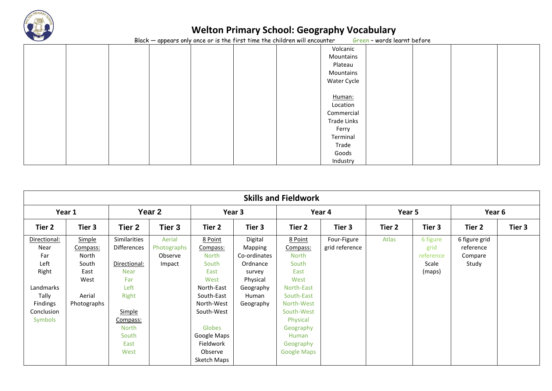

 $Black - appears only once or is the first time the children will encounter$ 

|  | $\overline{\phantom{a}}$ |  |             | $\sim$ $\sim$ |  |
|--|--------------------------|--|-------------|---------------|--|
|  |                          |  | Volcanic    |               |  |
|  |                          |  | Mountains   |               |  |
|  |                          |  | Plateau     |               |  |
|  |                          |  | Mountains   |               |  |
|  |                          |  | Water Cycle |               |  |
|  |                          |  |             |               |  |
|  |                          |  | Human:      |               |  |
|  |                          |  | Location    |               |  |
|  |                          |  | Commercial  |               |  |
|  |                          |  | Trade Links |               |  |
|  |                          |  | Ferry       |               |  |
|  |                          |  | Terminal    |               |  |
|  |                          |  | Trade       |               |  |
|  |                          |  | Goods       |               |  |
|  |                          |  | Industry    |               |  |

| <b>Skills and Fieldwork</b> |                             |                             |                                  |                                     |                                    |                                     |                               |                   |                               |                                       |        |
|-----------------------------|-----------------------------|-----------------------------|----------------------------------|-------------------------------------|------------------------------------|-------------------------------------|-------------------------------|-------------------|-------------------------------|---------------------------------------|--------|
| Year 1                      |                             | Year 2                      |                                  | Year 3                              |                                    | Year 4                              |                               | Year 5            |                               | Year 6                                |        |
| Tier 2                      | Tier 3                      | Tier 2                      | Tier 3                           | Tier 2                              | Tier 3                             | Tier 2                              | Tier 3                        | Tier <sub>2</sub> | Tier 3                        | Tier 2                                | Tier 3 |
| Directional:<br>Near<br>Far | Simple<br>Compass:<br>North | Similarities<br>Differences | Aerial<br>Photographs<br>Observe | 8 Point<br>Compass:<br><b>North</b> | Digital<br>Mapping<br>Co-ordinates | 8 Point<br>Compass:<br><b>North</b> | Four-Figure<br>grid reference | Atlas             | 6 figure<br>grid<br>reference | 6 figure grid<br>reference<br>Compare |        |
| Left<br>Right               | South<br>East               | Directional:<br><b>Near</b> | Impact                           | South<br>East                       | Ordnance<br>survey                 | South<br>East                       |                               |                   | Scale<br>(maps)               | Study                                 |        |
| Landmarks                   | West                        | Far<br>Left                 |                                  | West<br>North-East                  | Physical<br>Geography              | West<br>North-East                  |                               |                   |                               |                                       |        |
| Tally<br>Findings           | Aerial<br>Photographs       | Right                       |                                  | South-East<br>North-West            | Human<br>Geography                 | South-East<br>North-West            |                               |                   |                               |                                       |        |
| Conclusion<br>Symbols       |                             | Simple<br>Compass:          |                                  | South-West                          |                                    | South-West<br>Physical              |                               |                   |                               |                                       |        |
|                             |                             | <b>North</b><br>South       |                                  | Globes<br>Google Maps               |                                    | Geography<br>Human                  |                               |                   |                               |                                       |        |
|                             |                             | East<br>West                |                                  | Fieldwork<br>Observe                |                                    | Geography<br><b>Google Maps</b>     |                               |                   |                               |                                       |        |
|                             |                             |                             |                                  | Sketch Maps                         |                                    |                                     |                               |                   |                               |                                       |        |